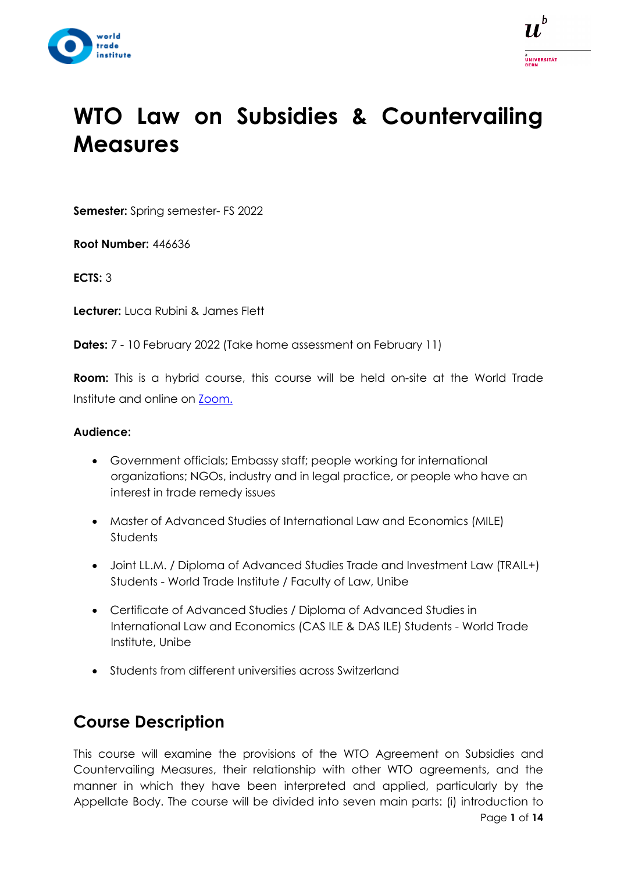



# **WTO Law on Subsidies & Countervailing Measures**

**Semester:** Spring semester- FS 2022

**Root Number:** 446636

**ECTS:** 3

**Lecturer:** Luca Rubini & James Flett

**Dates:** 7 - 10 February 2022 (Take home assessment on February 11)

**Room:** This is a hybrid course, this course will be held on-site at the World Trade Institute and online on [Zoom.](https://www.zoom.us/)

#### **Audience:**

- Government officials; Embassy staff; people working for international organizations; NGOs, industry and in legal practice, or people who have an interest in trade remedy issues
- Master of Advanced Studies of International Law and Economics (MILE) **Students**
- Joint LL.M. / Diploma of Advanced Studies Trade and Investment Law (TRAIL+) Students - World Trade Institute / Faculty of Law, Unibe
- Certificate of Advanced Studies / Diploma of Advanced Studies in International Law and Economics (CAS ILE & DAS ILE) Students - World Trade Institute, Unibe
- Students from different universities across Switzerland

# **Course Description**

Page **1** of **14** This course will examine the provisions of the WTO Agreement on Subsidies and Countervailing Measures, their relationship with other WTO agreements, and the manner in which they have been interpreted and applied, particularly by the Appellate Body. The course will be divided into seven main parts: (i) introduction to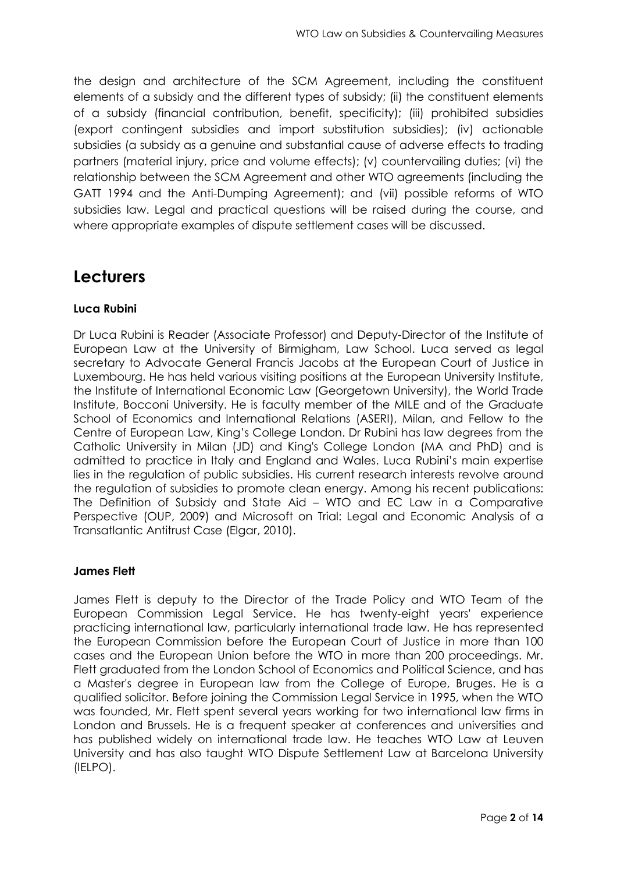the design and architecture of the SCM Agreement, including the constituent elements of a subsidy and the different types of subsidy; (ii) the constituent elements of a subsidy (financial contribution, benefit, specificity); (iii) prohibited subsidies (export contingent subsidies and import substitution subsidies); (iv) actionable subsidies (a subsidy as a genuine and substantial cause of adverse effects to trading partners (material injury, price and volume effects); (v) countervailing duties; (vi) the relationship between the SCM Agreement and other WTO agreements (including the GATT 1994 and the Anti-Dumping Agreement); and (vii) possible reforms of WTO subsidies law. Legal and practical questions will be raised during the course, and where appropriate examples of dispute settlement cases will be discussed.

## **Lecturers**

#### **Luca Rubini**

Dr Luca Rubini is Reader (Associate Professor) and Deputy-Director of the Institute of European Law at the University of Birmigham, Law School. Luca served as legal secretary to Advocate General Francis Jacobs at the European Court of Justice in Luxembourg. He has held various visiting positions at the European University Institute, the Institute of International Economic Law (Georgetown University), the World Trade Institute, Bocconi University. He is faculty member of the MILE and of the Graduate School of Economics and International Relations (ASERI), Milan, and Fellow to the Centre of European Law, King's College London. Dr Rubini has law degrees from the Catholic University in Milan (JD) and King's College London (MA and PhD) and is admitted to practice in Italy and England and Wales. Luca Rubini's main expertise lies in the regulation of public subsidies. His current research interests revolve around the regulation of subsidies to promote clean energy. Among his recent publications: The Definition of Subsidy and State Aid – WTO and EC Law in a Comparative Perspective (OUP, 2009) and Microsoft on Trial: Legal and Economic Analysis of a Transatlantic Antitrust Case (Elgar, 2010).

#### **James Flett**

James Flett is deputy to the Director of the Trade Policy and WTO Team of the European Commission Legal Service. He has twenty-eight years' experience practicing international law, particularly international trade law. He has represented the European Commission before the European Court of Justice in more than 100 cases and the European Union before the WTO in more than 200 proceedings. Mr. Flett graduated from the London School of Economics and Political Science, and has a Master's degree in European law from the College of Europe, Bruges. He is a qualified solicitor. Before joining the Commission Legal Service in 1995, when the WTO was founded, Mr. Flett spent several years working for two international law firms in London and Brussels. He is a frequent speaker at conferences and universities and has published widely on international trade law. He teaches WTO Law at Leuven University and has also taught WTO Dispute Settlement Law at Barcelona University (IELPO).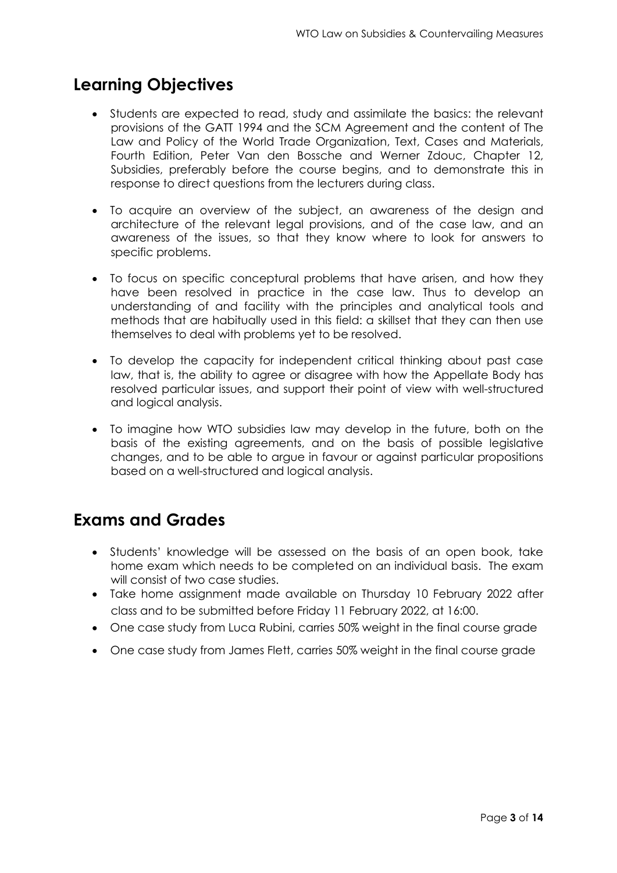# **Learning Objectives**

- Students are expected to read, study and assimilate the basics: the relevant provisions of the GATT 1994 and the SCM Agreement and the content of The Law and Policy of the World Trade Organization, Text, Cases and Materials, Fourth Edition, Peter Van den Bossche and Werner Zdouc, Chapter 12, Subsidies, preferably before the course begins, and to demonstrate this in response to direct questions from the lecturers during class.
- To acquire an overview of the subject, an awareness of the design and architecture of the relevant legal provisions, and of the case law, and an awareness of the issues, so that they know where to look for answers to specific problems.
- To focus on specific conceptural problems that have arisen, and how they have been resolved in practice in the case law. Thus to develop an understanding of and facility with the principles and analytical tools and methods that are habitually used in this field: a skillset that they can then use themselves to deal with problems yet to be resolved.
- To develop the capacity for independent critical thinking about past case law, that is, the ability to agree or disagree with how the Appellate Body has resolved particular issues, and support their point of view with well-structured and logical analysis.
- To imagine how WTO subsidies law may develop in the future, both on the basis of the existing agreements, and on the basis of possible legislative changes, and to be able to argue in favour or against particular propositions based on a well-structured and logical analysis.

## **Exams and Grades**

- Students' knowledge will be assessed on the basis of an open book, take home exam which needs to be completed on an individual basis. The exam will consist of two case studies.
- Take home assignment made available on Thursday 10 February 2022 after class and to be submitted before Friday 11 February 2022, at 16:00.
- One case study from Luca Rubini, carries 50% weight in the final course grade
- One case study from James Flett, carries 50% weight in the final course grade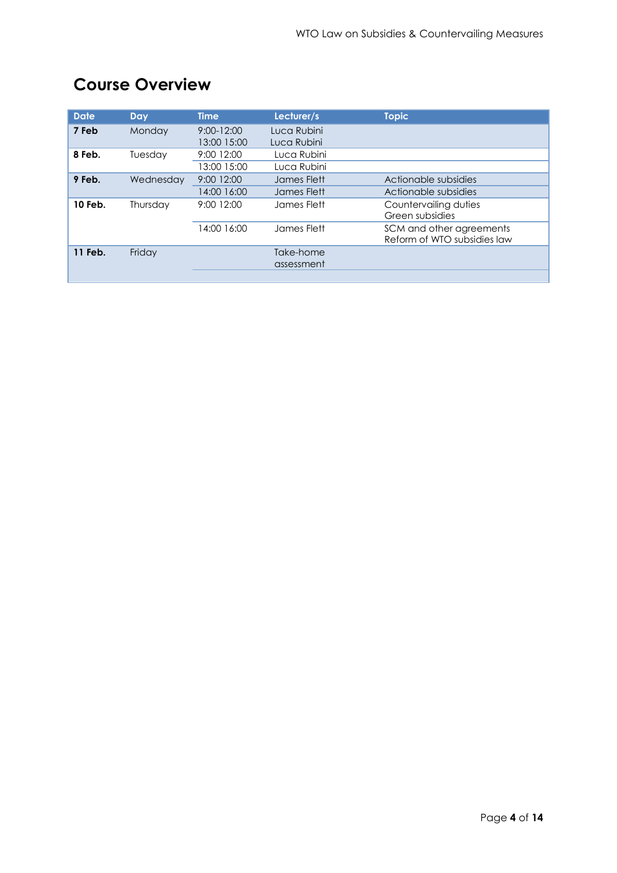| <b>Date</b> | <b>Day</b> | <b>Time</b>                   | Lecturer/s                 | <b>Topic</b>                                            |
|-------------|------------|-------------------------------|----------------------------|---------------------------------------------------------|
| 7 Feb       | Monday     | $9:00 - 12:00$<br>13:00 15:00 | Luca Rubini<br>Luca Rubini |                                                         |
| 8 Feb.      | Tuesday    | 9:00 12:00<br>13:00 15:00     | Luca Rubini<br>Luca Rubini |                                                         |
| 9 Feb.      | Wednesday  | 9:00 12:00<br>14:00 16:00     | James Flett<br>James Flett | Actionable subsidies<br>Actionable subsidies            |
| 10 Feb.     | Thursday   | 9:00 12:00                    | James Flett                | Countervailing duties<br>Green subsidies                |
|             |            | 14:00 16:00                   | James Flett                | SCM and other agreements<br>Reform of WTO subsidies law |
| 11 Feb.     | Friday     |                               | Take-home<br>assessment    |                                                         |

# **Course Overview**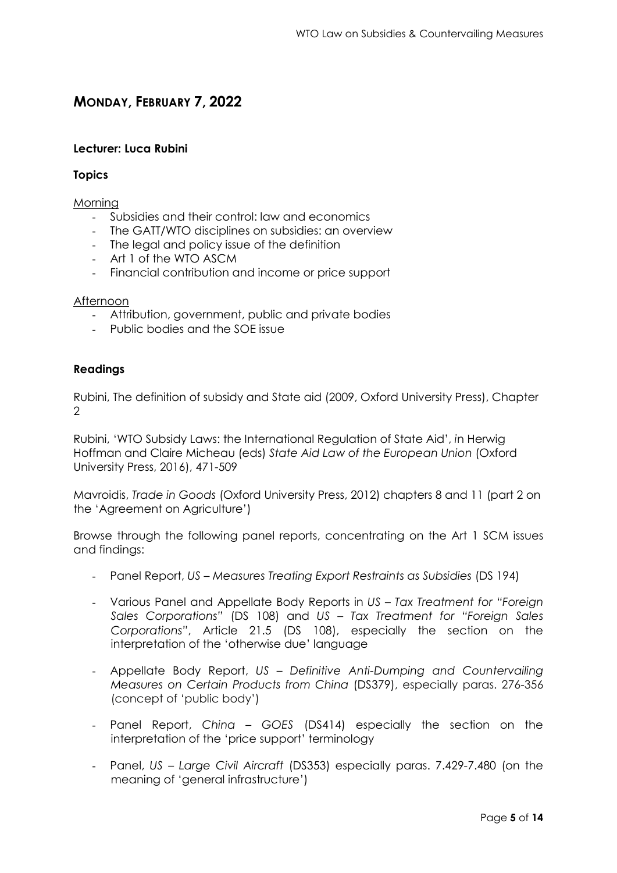### **MONDAY, FEBRUARY 7, 2022**

#### **Lecturer: Luca Rubini**

#### **Topics**

#### Morning

- Subsidies and their control: law and economics
- The GATT/WTO disciplines on subsidies: an overview
- The legal and policy issue of the definition
- Art 1 of the WTO ASCM
- Financial contribution and income or price support

#### Afternoon

- Attribution, government, public and private bodies
- Public bodies and the SOE issue

#### **Readings**

Rubini, The definition of subsidy and State aid (2009, Oxford University Press), Chapter  $\mathcal{D}$ 

Rubini, 'WTO Subsidy Laws: the International Regulation of State Aid', *i*n Herwig Hoffman and Claire Micheau (eds) *State Aid Law of the European Union* (Oxford University Press, 2016), 471-509

Mavroidis, *Trade in Goods* (Oxford University Press, 2012) chapters 8 and 11 (part 2 on the 'Agreement on Agriculture')

Browse through the following panel reports, concentrating on the Art 1 SCM issues and findings:

- Panel Report, *US Measures Treating Export Restraints as Subsidies* (DS 194)
- Various Panel and Appellate Body Reports in *US Tax Treatment for "Foreign Sales Corporations"* (DS 108) and *US – Tax Treatment for "Foreign Sales Corporations"*, Article 21.5 (DS 108), especially the section on the interpretation of the 'otherwise due' language
- Appellate Body Report, *US Definitive Anti-Dumping and Countervailing Measures on Certain Products from China* (DS379), especially paras. 276-356 (concept of 'public body')
- Panel Report, *China GOES* (DS414) especially the section on the interpretation of the 'price support' terminology
- Panel, *US Large Civil Aircraft* (DS353) especially paras. 7.429-7.480 (on the meaning of 'general infrastructure')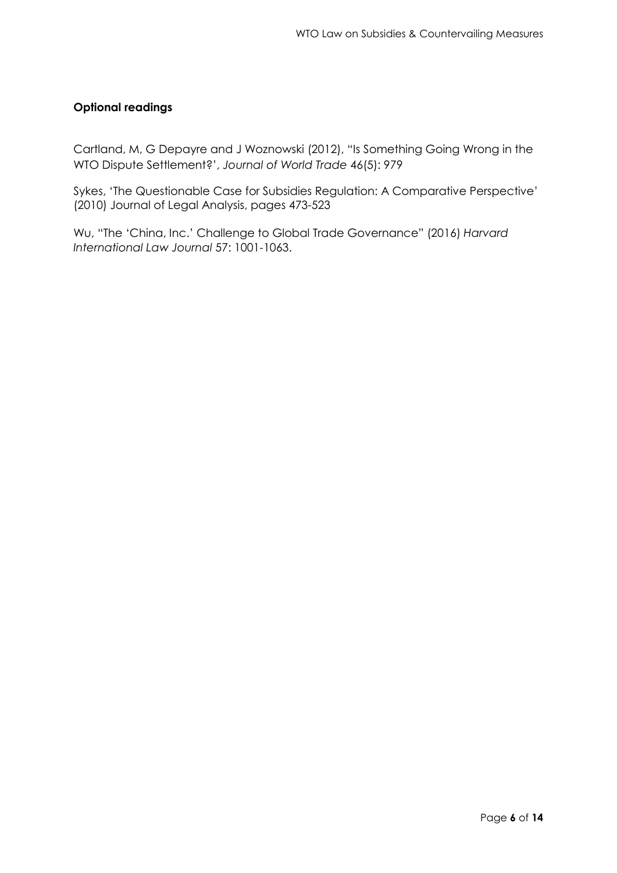#### **Optional readings**

Cartland, M, G Depayre and J Woznowski (2012), "Is Something Going Wrong in the WTO Dispute Settlement?', *Journal of World Trade* 46(5): 979

Sykes, 'The Questionable Case for Subsidies Regulation: A Comparative Perspective' (2010) Journal of Legal Analysis, pages 473-523

Wu, "The 'China, Inc.' Challenge to Global Trade Governance" (2016) *Harvard International Law Journal* 57: 1001-1063.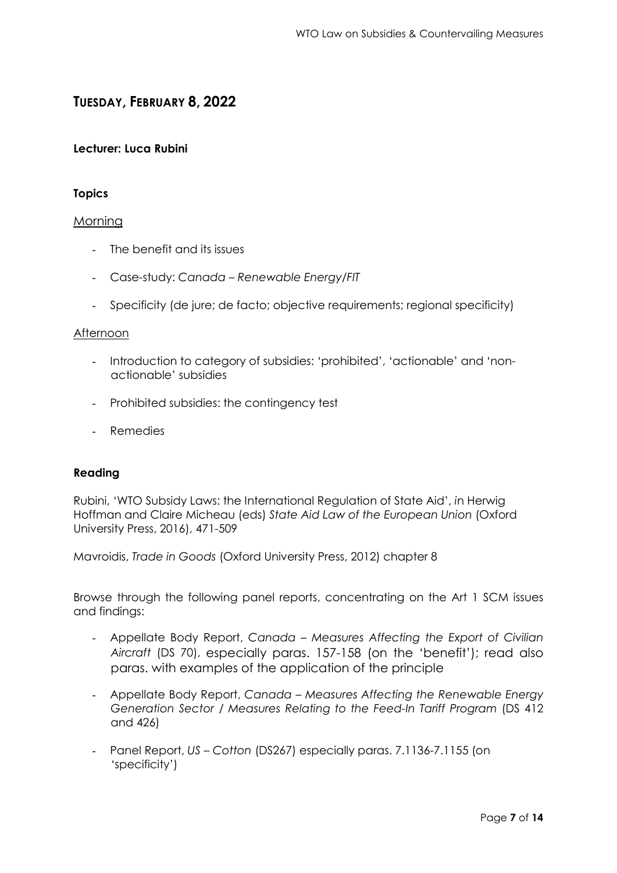### **TUESDAY, FEBRUARY 8, 2022**

#### **Lecturer: Luca Rubini**

#### **Topics**

#### Morning

- The benefit and its issues
- Case-study: *Canada – Renewable Energy/FIT*
- Specificity (de jure; de facto; objective requirements; regional specificity)

#### **Afternoon**

- Introduction to category of subsidies: 'prohibited', 'actionable' and 'nonactionable' subsidies
- Prohibited subsidies: the contingency test
- Remedies

#### **Reading**

Rubini, 'WTO Subsidy Laws: the International Regulation of State Aid', *i*n Herwig Hoffman and Claire Micheau (eds) *State Aid Law of the European Union* (Oxford University Press, 2016), 471-509

Mavroidis, *Trade in Goods* (Oxford University Press, 2012) chapter 8

Browse through the following panel reports, concentrating on the Art 1 SCM issues and findings:

- Appellate Body Report, *Canada – Measures Affecting the Export of Civilian Aircraft* (DS 70), especially paras. 157-158 (on the 'benefit'); read also paras. with examples of the application of the principle
- Appellate Body Report, *Canada – Measures Affecting the Renewable Energy Generation Sector / Measures Relating to the Feed-In Tariff Program (DS 412)* and 426)
- Panel Report, *US – Cotton* (DS267) especially paras. 7.1136-7.1155 (on 'specificity')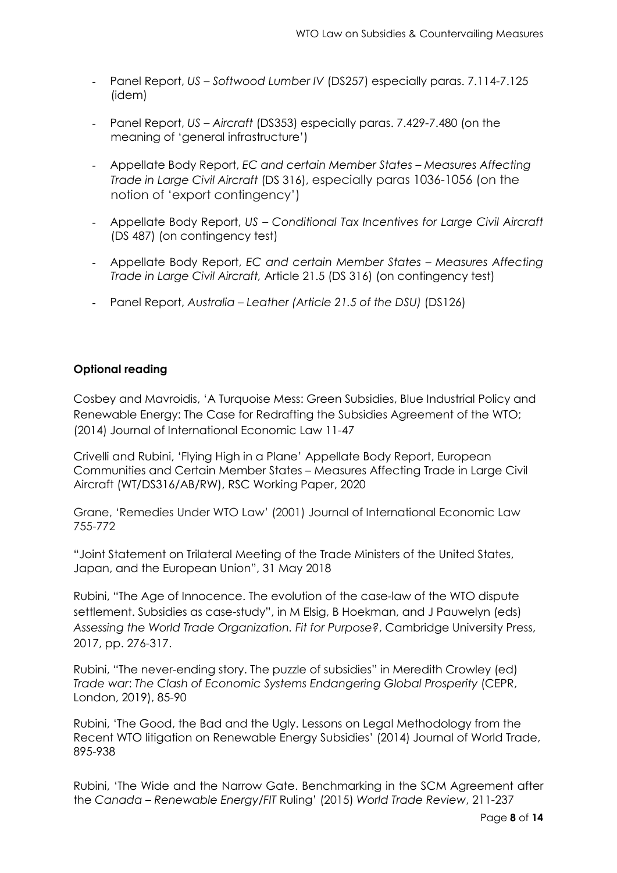- Panel Report, *US Softwood Lumber IV* (DS257) especially paras. 7.114-7.125 (idem)
- Panel Report, *US Aircraft* (DS353) especially paras. 7.429-7.480 (on the meaning of 'general infrastructure')
- Appellate Body Report, *EC and certain Member States Measures Affecting Trade in Large Civil Aircraft* (DS 316), especially paras 1036-1056 (on the notion of 'export contingency')
- Appellate Body Report, *US Conditional Tax Incentives for Large Civil Aircraft* (DS 487) (on contingency test)
- Appellate Body Report, *EC and certain Member States Measures Affecting Trade in Large Civil Aircraft,* Article 21.5 (DS 316) (on contingency test)
- Panel Report, *Australia Leather (Article 21.5 of the DSU)* (DS126)

#### **Optional reading**

Cosbey and Mavroidis, 'A Turquoise Mess: Green Subsidies, Blue Industrial Policy and Renewable Energy: The Case for Redrafting the Subsidies Agreement of the WTO; (2014) Journal of International Economic Law 11-47

Crivelli and Rubini, 'Flying High in a Plane' Appellate Body Report, European Communities and Certain Member States – Measures Affecting Trade in Large Civil Aircraft (WT/DS316/AB/RW), RSC Working Paper, 2020

Grane, 'Remedies Under WTO Law' (2001) Journal of International Economic Law 755-772

"Joint Statement on Trilateral Meeting of the Trade Ministers of the United States, Japan, and the European Union", 31 May 2018

Rubini, "The Age of Innocence. The evolution of the case-law of the WTO dispute settlement. Subsidies as case-study", in M Elsig, B Hoekman, and J Pauwelyn (eds) *Assessing the World Trade Organization. Fit for Purpose?*, Cambridge University Press, 2017, pp. 276-317.

Rubini, "The never-ending story. The puzzle of subsidies" in Meredith Crowley (ed) *Trade war*: *The Clash of Economic Systems Endangering Global Prosperity* (CEPR, London, 2019), 85-90

Rubini, 'The Good, the Bad and the Ugly. Lessons on Legal Methodology from the Recent WTO litigation on Renewable Energy Subsidies' (2014) Journal of World Trade, 895-938

Rubini, 'The Wide and the Narrow Gate. Benchmarking in the SCM Agreement after the *Canada – Renewable Energy/FIT* Ruling' (2015) *World Trade Review*, 211-237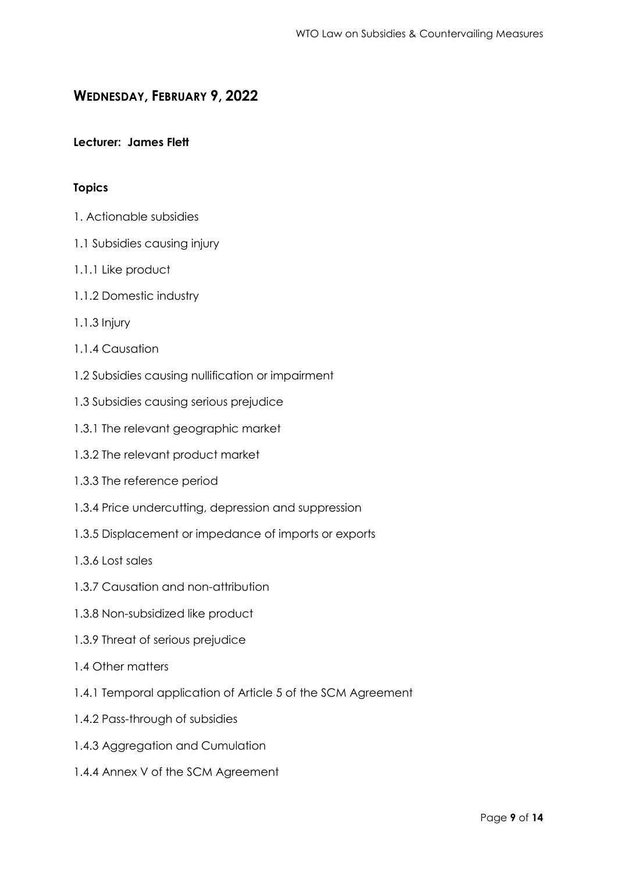### **WEDNESDAY, FEBRUARY 9, 2022**

#### **Lecturer: James Flett**

#### **Topics**

- 1. Actionable subsidies
- 1.1 Subsidies causing injury
- 1.1.1 Like product
- 1.1.2 Domestic industry
- 1.1.3 Injury
- 1.1.4 Causation
- 1.2 Subsidies causing nullification or impairment
- 1.3 Subsidies causing serious prejudice
- 1.3.1 The relevant geographic market
- 1.3.2 The relevant product market
- 1.3.3 The reference period
- 1.3.4 Price undercutting, depression and suppression
- 1.3.5 Displacement or impedance of imports or exports
- 1.3.6 Lost sales
- 1.3.7 Causation and non-attribution
- 1.3.8 Non-subsidized like product
- 1.3.9 Threat of serious prejudice
- 1.4 Other matters
- 1.4.1 Temporal application of Article 5 of the SCM Agreement
- 1.4.2 Pass-through of subsidies
- 1.4.3 Aggregation and Cumulation
- 1.4.4 Annex V of the SCM Agreement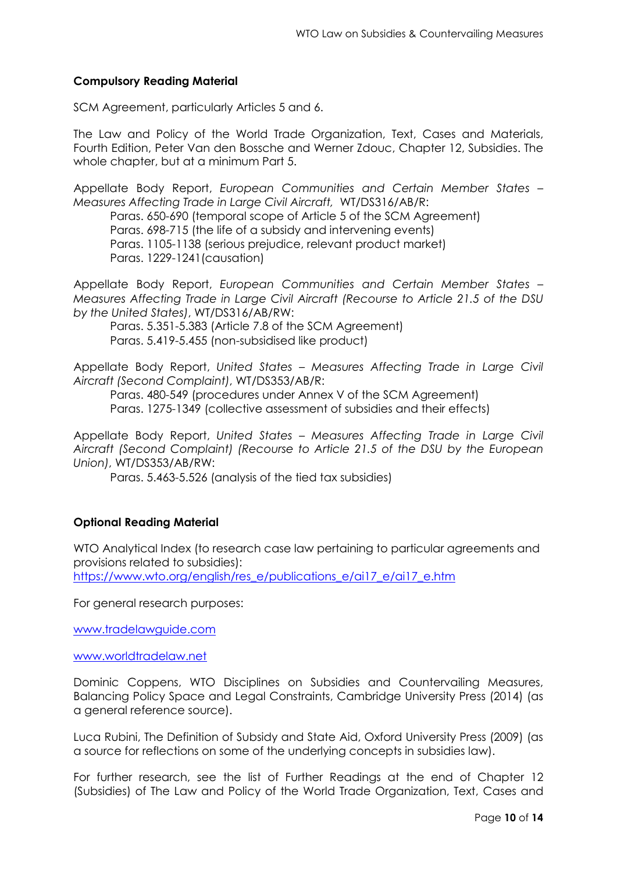#### **Compulsory Reading Material**

SCM Agreement, particularly Articles 5 and 6.

The Law and Policy of the World Trade Organization, Text, Cases and Materials, Fourth Edition, Peter Van den Bossche and Werner Zdouc, Chapter 12, Subsidies. The whole chapter, but at a minimum Part 5.

Appellate Body Report, *European Communities and Certain Member States – Measures Affecting Trade in Large Civil Aircraft,* WT/DS316/AB/R:

Paras. 650-690 (temporal scope of Article 5 of the SCM Agreement) Paras. 698-715 (the life of a subsidy and intervening events) Paras. 1105-1138 (serious prejudice, relevant product market) Paras. 1229-1241(causation)

Appellate Body Report, *European Communities and Certain Member States – Measures Affecting Trade in Large Civil Aircraft (Recourse to Article 21.5 of the DSU by the United States)*, WT/DS316/AB/RW:

Paras. 5.351-5.383 (Article 7.8 of the SCM Agreement) Paras. 5.419-5.455 (non-subsidised like product)

Appellate Body Report, *United States – Measures Affecting Trade in Large Civil Aircraft (Second Complaint)*, WT/DS353/AB/R:

Paras. 480-549 (procedures under Annex V of the SCM Agreement) Paras. 1275-1349 (collective assessment of subsidies and their effects)

Appellate Body Report, *United States – Measures Affecting Trade in Large Civil Aircraft (Second Complaint) (Recourse to Article 21.5 of the DSU by the European Union)*, WT/DS353/AB/RW:

Paras. 5.463-5.526 (analysis of the tied tax subsidies)

#### **Optional Reading Material**

WTO Analytical Index (to research case law pertaining to particular agreements and provisions related to subsidies):

[https://www.wto.org/english/res\\_e/publications\\_e/ai17\\_e/ai17\\_e.htm](https://www.wto.org/english/res_e/publications_e/ai17_e/ai17_e.htm)

For general research purposes:

[www.tradelawguide.com](http://www.tradelawguide.com/)

[www.worldtradelaw.net](http://www.worldtradelaw.net/)

Dominic Coppens, WTO Disciplines on Subsidies and Countervailing Measures, Balancing Policy Space and Legal Constraints, Cambridge University Press (2014) (as a general reference source).

Luca Rubini, The Definition of Subsidy and State Aid, Oxford University Press (2009) (as a source for reflections on some of the underlying concepts in subsidies law).

For further research, see the list of Further Readings at the end of Chapter 12 (Subsidies) of The Law and Policy of the World Trade Organization, Text, Cases and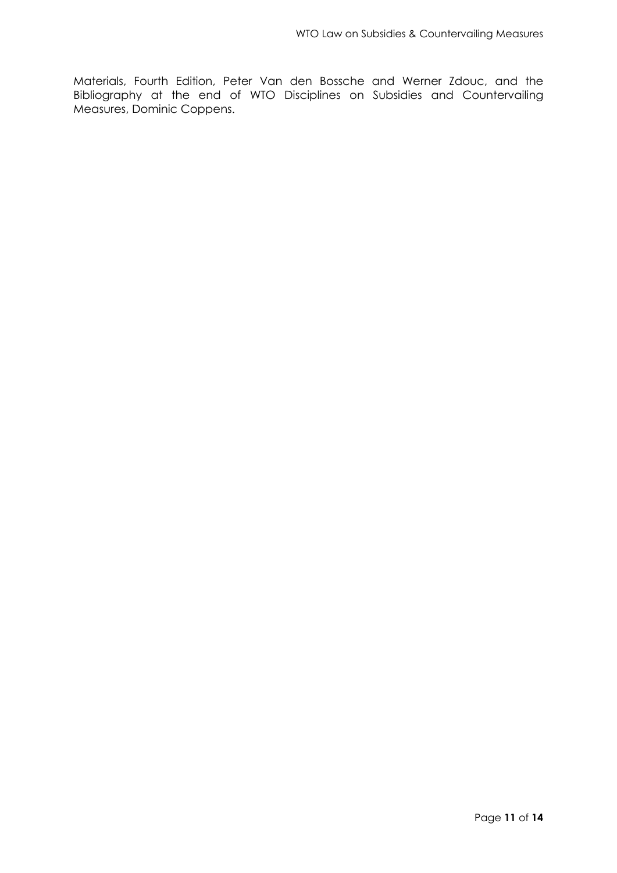Materials, Fourth Edition, Peter Van den Bossche and Werner Zdouc, and the Bibliography at the end of WTO Disciplines on Subsidies and Countervailing Measures, Dominic Coppens.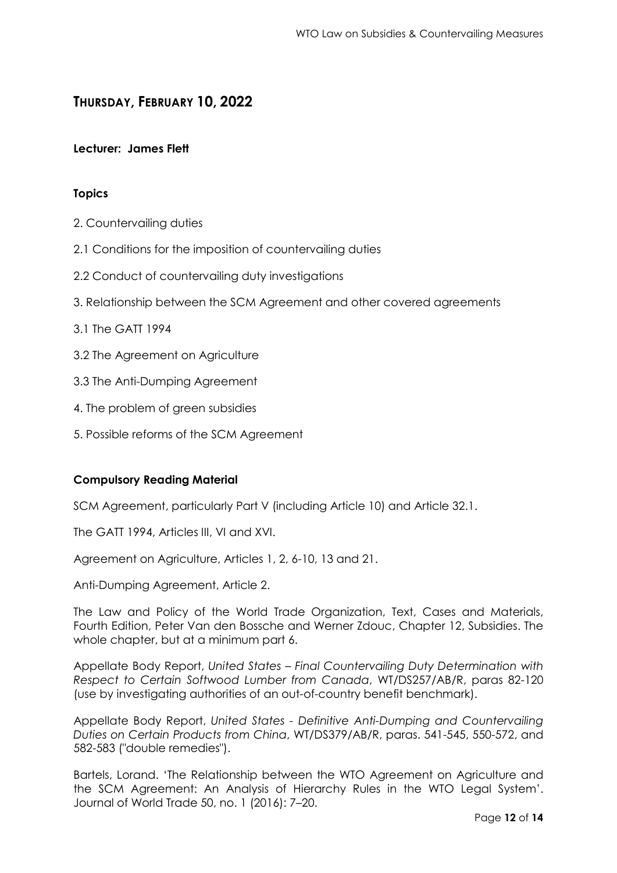### **THURSDAY, FEBRUARY 10, 2022**

#### **Lecturer: James Flett**

#### **Topics**

- 2. Countervailing duties
- 2.1 Conditions for the imposition of countervailing duties
- 2.2 Conduct of countervailing duty investigations
- 3. Relationship between the SCM Agreement and other covered agreements
- 3.1 The GATT 1994
- 3.2 The Agreement on Agriculture
- 3.3 The Anti-Dumping Agreement
- 4. The problem of green subsidies
- 5. Possible reforms of the SCM Agreement

#### **Compulsory Reading Material**

SCM Agreement, particularly Part V (including Article 10) and Article 32.1.

The GATT 1994, Articles III, VI and XVI.

Agreement on Agriculture, Articles 1, 2, 6-10, 13 and 21.

Anti-Dumping Agreement, Article 2.

The Law and Policy of the World Trade Organization, Text, Cases and Materials, Fourth Edition, Peter Van den Bossche and Werner Zdouc, Chapter 12, Subsidies. The whole chapter, but at a minimum part 6.

Appellate Body Report, *United States – Final Countervailing Duty Determination with Respect to Certain Softwood Lumber from Canada*, WT/DS257/AB/R, paras 82-120 (use by investigating authorities of an out-of-country benefit benchmark).

Appellate Body Report, *United States - Definitive Anti-Dumping and Countervailing Duties on Certain Products from China*, WT/DS379/AB/R, paras. 541-545, 550-572, and 582-583 ("double remedies").

Bartels, Lorand. 'The Relationship between the WTO Agreement on Agriculture and the SCM Agreement: An Analysis of Hierarchy Rules in the WTO Legal System'. Journal of World Trade 50, no. 1 (2016): 7–20.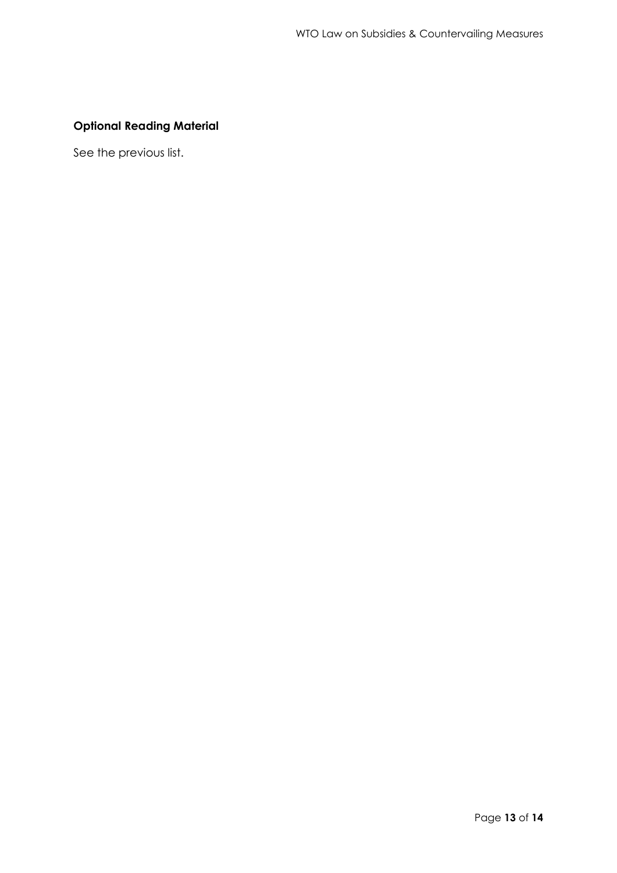### **Optional Reading Material**

See the previous list.